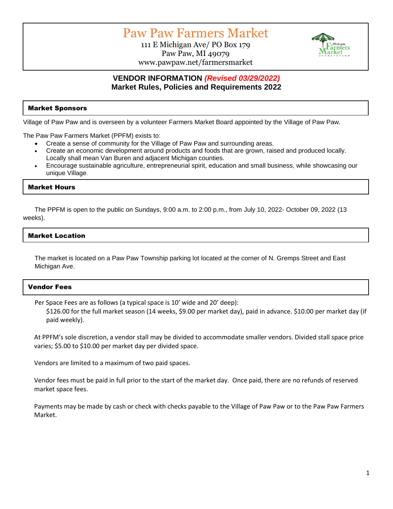Paw Paw Farmers Market

111 E Michigan Ave/ PO Box 179 Paw Paw, MI 49079 www.pawpaw.net/farmersmarket



# **VENDOR INFORMATION** *(Revised 03/29/2022)* **Market Rules, Policies and Requirements 2022**

# Market Sponsors

Village of Paw Paw and is overseen by a volunteer Farmers Market Board appointed by the Village of Paw Paw.

The Paw Paw Farmers Market (PPFM) exists to:

- Create a sense of community for the Village of Paw Paw and surrounding areas.
- Create an economic development around products and foods that are grown, raised and produced locally. Locally shall mean Van Buren and adjacent Michigan counties.
- Encourage sustainable agriculture, entrepreneurial spirit, education and small business, while showcasing our unique Village.

### Market Hours

The PPFM is open to the public on Sundays, 9:00 a.m. to 2:00 p.m., from July 10, 2022- October 09, 2022 (13 weeks).

## Market Location

The market is located on a Paw Paw Township parking lot located at the corner of N. Gremps Street and East Michigan Ave.

## Vendor Fees

Per Space Fees are as follows (a typical space is 10' wide and 20' deep):

\$126.00 for the full market season (14 weeks, \$9.00 per market day), paid in advance. \$10.00 per market day (if paid weekly).

At PPFM's sole discretion, a vendor stall may be divided to accommodate smaller vendors. Divided stall space price varies; \$5.00 to \$10.00 per market day per divided space.

Vendors are limited to a maximum of two paid spaces.

Vendor fees must be paid in full prior to the start of the market day. Once paid, there are no refunds of reserved market space fees.

Payments may be made by cash or check with checks payable to the Village of Paw Paw or to the Paw Paw Farmers Market.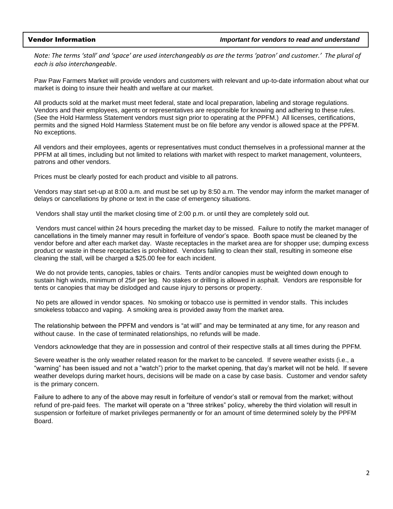*Note: The terms 'stall' and 'space' are used interchangeably as are the terms 'patron' and customer.' The plural of each is also interchangeable*.

Paw Paw Farmers Market will provide vendors and customers with relevant and up-to-date information about what our market is doing to insure their health and welfare at our market.

All products sold at the market must meet federal, state and local preparation, labeling and storage regulations. Vendors and their employees, agents or representatives are responsible for knowing and adhering to these rules. (See the Hold Harmless Statement vendors must sign prior to operating at the PPFM.) All licenses, certifications, permits and the signed Hold Harmless Statement must be on file before any vendor is allowed space at the PPFM. No exceptions.

All vendors and their employees, agents or representatives must conduct themselves in a professional manner at the PPFM at all times, including but not limited to relations with market with respect to market management, volunteers, patrons and other vendors.

Prices must be clearly posted for each product and visible to all patrons.

Vendors may start set-up at 8:00 a.m. and must be set up by 8:50 a.m. The vendor may inform the market manager of delays or cancellations by phone or text in the case of emergency situations.

Vendors shall stay until the market closing time of 2:00 p.m. or until they are completely sold out.

Vendors must cancel within 24 hours preceding the market day to be missed. Failure to notify the market manager of cancellations in the timely manner may result in forfeiture of vendor's space. Booth space must be cleaned by the vendor before and after each market day. Waste receptacles in the market area are for shopper use; dumping excess product or waste in these receptacles is prohibited. Vendors failing to clean their stall, resulting in someone else cleaning the stall, will be charged a \$25.00 fee for each incident.

We do not provide tents, canopies, tables or chairs. Tents and/or canopies must be weighted down enough to sustain high winds, minimum of 25# per leg. No stakes or drilling is allowed in asphalt. Vendors are responsible for tents or canopies that may be dislodged and cause injury to persons or property.

No pets are allowed in vendor spaces. No smoking or tobacco use is permitted in vendor stalls. This includes smokeless tobacco and vaping. A smoking area is provided away from the market area.

The relationship between the PPFM and vendors is "at will" and may be terminated at any time, for any reason and without cause. In the case of terminated relationships, no refunds will be made.

Vendors acknowledge that they are in possession and control of their respective stalls at all times during the PPFM.

Severe weather is the only weather related reason for the market to be canceled. If severe weather exists (i.e., a "warning" has been issued and not a "watch") prior to the market opening, that day's market will not be held. If severe weather develops during market hours, decisions will be made on a case by case basis. Customer and vendor safety is the primary concern.

Failure to adhere to any of the above may result in forfeiture of vendor's stall or removal from the market; without refund of pre-paid fees. The market will operate on a "three strikes" policy, whereby the third violation will result in suspension or forfeiture of market privileges permanently or for an amount of time determined solely by the PPFM Board.